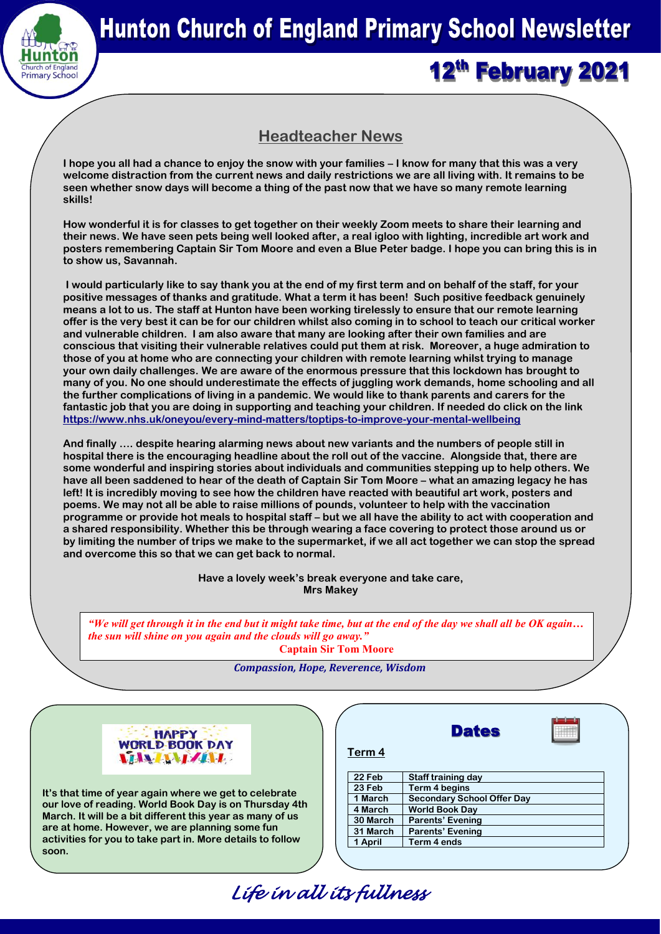

# 12th February 2021

# **Headteacher News**

**I hope you all had a chance to enjoy the snow with your families – I know for many that this was a very welcome distraction from the current news and daily restrictions we are all living with. It remains to be seen whether snow days will become a thing of the past now that we have so many remote learning skills!**

**How wonderful it is for classes to get together on their weekly Zoom meets to share their learning and their news. We have seen pets being well looked after, a real igloo with lighting, incredible art work and posters remembering Captain Sir Tom Moore and even a Blue Peter badge. I hope you can bring this is in to show us, Savannah.**

**I would particularly like to say thank you at the end of my first term and on behalf of the staff, for your positive messages of thanks and gratitude. What a term it has been! Such positive feedback genuinely means a lot to us. The staff at Hunton have been working tirelessly to ensure that our remote learning offer is the very best it can be for our children whilst also coming in to school to teach our critical worker and vulnerable children. I am also aware that many are looking after their own families and are conscious that visiting their vulnerable relatives could put them at risk. Moreover, a huge admiration to those of you at home who are connecting your children with remote learning whilst trying to manage your own daily challenges. We are aware of the enormous pressure that this lockdown has brought to many of you. No one should underestimate the effects of juggling work demands, home schooling and all the further complications of living in a pandemic. We would like to thank parents and carers for the fantastic job that you are doing in supporting and teaching your children. If needed do click on the link <https://www.nhs.uk/oneyou/every-mind-matters/toptips-to-improve-your-mental-wellbeing>**

**And finally …. despite hearing alarming news about new variants and the numbers of people still in hospital there is the encouraging headline about the roll out of the vaccine. Alongside that, there are some wonderful and inspiring stories about individuals and communities stepping up to help others. We have all been saddened to hear of the death of Captain Sir Tom Moore – what an amazing legacy he has left! It is incredibly moving to see how the children have reacted with beautiful art work, posters and poems. We may not all be able to raise millions of pounds, volunteer to help with the vaccination programme or provide hot meals to hospital staff – but we all have the ability to act with cooperation and a shared responsibility. Whether this be through wearing a face covering to protect those around us or by limiting the number of trips we make to the supermarket, if we all act together we can stop the spread and overcome this so that we can get back to normal.**

> **Have a lovely week's break everyone and take care, Mrs Makey**

*"We will get through it in the end but it might take time, but at the end of the day we shall all be OK again… the sun will shine on you again and the clouds will go away."* 

**Captain Sir Tom Moore** 

#### *Compassion, Hope, Reverence, Wisdom*

 *Life in all its fullness* 



**It's that time of year again where we get to celebrate our love of reading. World Book Day is on Thursday 4th March. It will be a bit different this year as many of us are at home. However, we are planning some fun activities for you to take part in. More details to follow soon.** 

|          | Pares                             |  |
|----------|-----------------------------------|--|
| Term 4   |                                   |  |
| 22 Feb   | Staff training day                |  |
| 23 Feb   | <b>Term 4 begins</b>              |  |
| 1 March  | <b>Secondary School Offer Day</b> |  |
| 4 March  | <b>World Book Day</b>             |  |
| 30 March | <b>Parents' Evening</b>           |  |
| 31 March | <b>Parents' Evening</b>           |  |
| 1 April  | Term 4 ends                       |  |
|          |                                   |  |